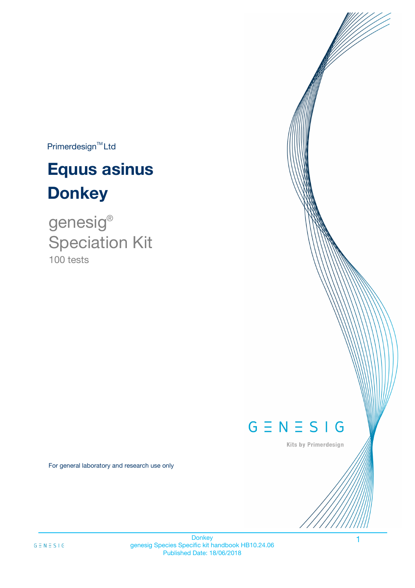$Primerdesign^{TM}$ Ltd

# **Equus asinus Donkey**

100 tests genesig ® Speciation Kit

# $G \equiv N \equiv S \mid G$

Kits by Primerdesign

1

For general laboratory and research use only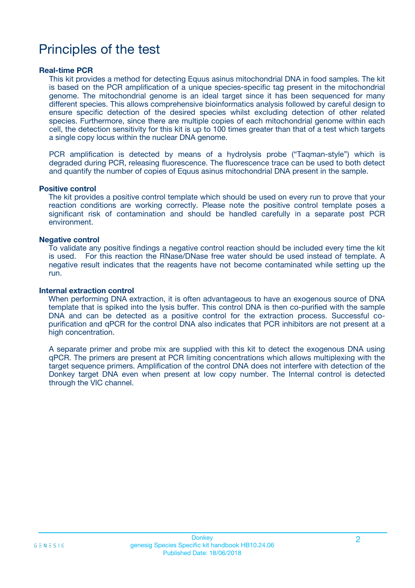# Principles of the test

### **Real-time PCR**

This kit provides a method for detecting Equus asinus mitochondrial DNA in food samples. The kit is based on the PCR amplification of a unique species-specific tag present in the mitochondrial genome. The mitochondrial genome is an ideal target since it has been sequenced for many different species. This allows comprehensive bioinformatics analysis followed by careful design to ensure specific detection of the desired species whilst excluding detection of other related species. Furthermore, since there are multiple copies of each mitochondrial genome within each cell, the detection sensitivity for this kit is up to 100 times greater than that of a test which targets a single copy locus within the nuclear DNA genome.

PCR amplification is detected by means of a hydrolysis probe ("Taqman-style") which is degraded during PCR, releasing fluorescence. The fluorescence trace can be used to both detect and quantify the number of copies of Equus asinus mitochondrial DNA present in the sample.

### **Positive control**

The kit provides a positive control template which should be used on every run to prove that your reaction conditions are working correctly. Please note the positive control template poses a significant risk of contamination and should be handled carefully in a separate post PCR environment.

### **Negative control**

To validate any positive findings a negative control reaction should be included every time the kit is used. For this reaction the RNase/DNase free water should be used instead of template. A negative result indicates that the reagents have not become contaminated while setting up the run.

#### **Internal extraction control**

When performing DNA extraction, it is often advantageous to have an exogenous source of DNA template that is spiked into the lysis buffer. This control DNA is then co-purified with the sample DNA and can be detected as a positive control for the extraction process. Successful copurification and qPCR for the control DNA also indicates that PCR inhibitors are not present at a high concentration.

A separate primer and probe mix are supplied with this kit to detect the exogenous DNA using qPCR. The primers are present at PCR limiting concentrations which allows multiplexing with the target sequence primers. Amplification of the control DNA does not interfere with detection of the Donkey target DNA even when present at low copy number. The Internal control is detected through the VIC channel.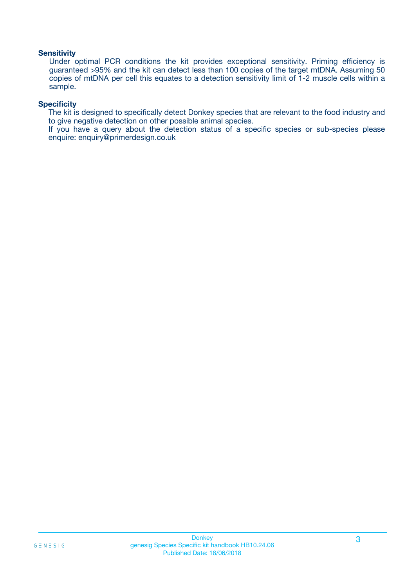### **Sensitivity**

Under optimal PCR conditions the kit provides exceptional sensitivity. Priming efficiency is guaranteed >95% and the kit can detect less than 100 copies of the target mtDNA. Assuming 50 copies of mtDNA per cell this equates to a detection sensitivity limit of 1-2 muscle cells within a sample.

### **Specificity**

The kit is designed to specifically detect Donkey species that are relevant to the food industry and to give negative detection on other possible animal species.

If you have a query about the detection status of a specific species or sub-species please enquire: enquiry@primerdesign.co.uk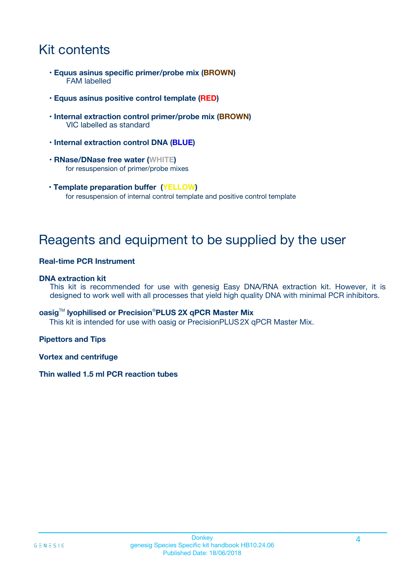# Kit contents

- **Equus asinus specific primer/probe mix (BROWN)** FAM labelled
- **Equus asinus positive control template (RED)**
- **Internal extraction control primer/probe mix (BROWN)** VIC labelled as standard
- **Internal extraction control DNA (BLUE)**
- **RNase/DNase free water (WHITE)** for resuspension of primer/probe mixes
- **Template preparation buffer (YELLOW)** for resuspension of internal control template and positive control template

# Reagents and equipment to be supplied by the user

### **Real-time PCR Instrument**

### **DNA extraction kit**

This kit is recommended for use with genesig Easy DNA/RNA extraction kit. However, it is designed to work well with all processes that yield high quality DNA with minimal PCR inhibitors.

### **oasig**TM **lyophilised or Precision**®**PLUS 2X qPCR Master Mix**

This kit is intended for use with oasig or PrecisionPLUS2X qPCR Master Mix.

### **Pipettors and Tips**

**Vortex and centrifuge**

### **Thin walled 1.5 ml PCR reaction tubes**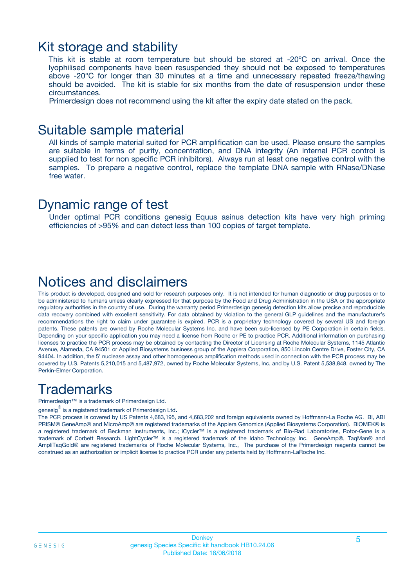### Kit storage and stability

This kit is stable at room temperature but should be stored at -20ºC on arrival. Once the lyophilised components have been resuspended they should not be exposed to temperatures above -20°C for longer than 30 minutes at a time and unnecessary repeated freeze/thawing should be avoided. The kit is stable for six months from the date of resuspension under these circumstances.

Primerdesign does not recommend using the kit after the expiry date stated on the pack.

### Suitable sample material

All kinds of sample material suited for PCR amplification can be used. Please ensure the samples are suitable in terms of purity, concentration, and DNA integrity (An internal PCR control is supplied to test for non specific PCR inhibitors). Always run at least one negative control with the samples. To prepare a negative control, replace the template DNA sample with RNase/DNase free water.

### Dynamic range of test

Under optimal PCR conditions genesig Equus asinus detection kits have very high priming efficiencies of >95% and can detect less than 100 copies of target template.

## Notices and disclaimers

This product is developed, designed and sold for research purposes only. It is not intended for human diagnostic or drug purposes or to be administered to humans unless clearly expressed for that purpose by the Food and Drug Administration in the USA or the appropriate regulatory authorities in the country of use. During the warranty period Primerdesign genesig detection kits allow precise and reproducible data recovery combined with excellent sensitivity. For data obtained by violation to the general GLP guidelines and the manufacturer's recommendations the right to claim under guarantee is expired. PCR is a proprietary technology covered by several US and foreign patents. These patents are owned by Roche Molecular Systems Inc. and have been sub-licensed by PE Corporation in certain fields. Depending on your specific application you may need a license from Roche or PE to practice PCR. Additional information on purchasing licenses to practice the PCR process may be obtained by contacting the Director of Licensing at Roche Molecular Systems, 1145 Atlantic Avenue, Alameda, CA 94501 or Applied Biosystems business group of the Applera Corporation, 850 Lincoln Centre Drive, Foster City, CA 94404. In addition, the 5' nuclease assay and other homogeneous amplification methods used in connection with the PCR process may be covered by U.S. Patents 5,210,015 and 5,487,972, owned by Roche Molecular Systems, Inc, and by U.S. Patent 5,538,848, owned by The Perkin-Elmer Corporation.

# **Trademarks**

Primerdesign™ is a trademark of Primerdesign Ltd.

genesig $^\circledR$  is a registered trademark of Primerdesign Ltd.

The PCR process is covered by US Patents 4,683,195, and 4,683,202 and foreign equivalents owned by Hoffmann-La Roche AG. BI, ABI PRISM® GeneAmp® and MicroAmp® are registered trademarks of the Applera Genomics (Applied Biosystems Corporation). BIOMEK® is a registered trademark of Beckman Instruments, Inc.; iCycler™ is a registered trademark of Bio-Rad Laboratories, Rotor-Gene is a trademark of Corbett Research. LightCycler™ is a registered trademark of the Idaho Technology Inc. GeneAmp®, TaqMan® and AmpliTaqGold® are registered trademarks of Roche Molecular Systems, Inc., The purchase of the Primerdesign reagents cannot be construed as an authorization or implicit license to practice PCR under any patents held by Hoffmann-LaRoche Inc.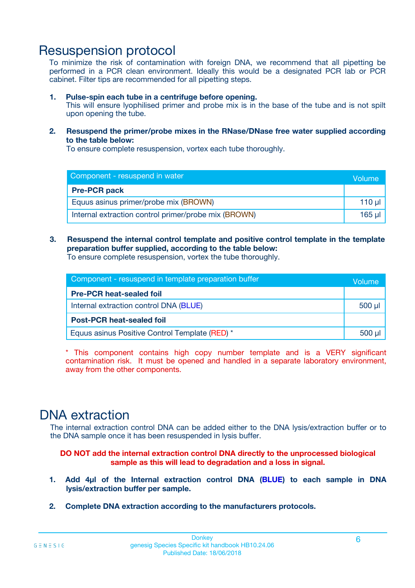# Resuspension protocol

To minimize the risk of contamination with foreign DNA, we recommend that all pipetting be performed in a PCR clean environment. Ideally this would be a designated PCR lab or PCR cabinet. Filter tips are recommended for all pipetting steps.

### **1. Pulse-spin each tube in a centrifuge before opening.**

This will ensure lyophilised primer and probe mix is in the base of the tube and is not spilt upon opening the tube.

**2. Resuspend the primer/probe mixes in the RNase/DNase free water supplied according to the table below:**

To ensure complete resuspension, vortex each tube thoroughly.

| Component - resuspend in water                       |        |  |
|------------------------------------------------------|--------|--|
| <b>Pre-PCR pack</b>                                  |        |  |
| Equus asinus primer/probe mix (BROWN)                | 110 µl |  |
| Internal extraction control primer/probe mix (BROWN) | 165 ul |  |

### **3. Resuspend the internal control template and positive control template in the template preparation buffer supplied, according to the table below:**

To ensure complete resuspension, vortex the tube thoroughly.

| Component - resuspend in template preparation buffer |             |  |
|------------------------------------------------------|-------------|--|
| <b>Pre-PCR heat-sealed foil</b>                      |             |  |
| Internal extraction control DNA (BLUE)               | $500$ $\mu$ |  |
| <b>Post-PCR heat-sealed foil</b>                     |             |  |
| Equus asinus Positive Control Template (RED) *       |             |  |

\* This component contains high copy number template and is a VERY significant contamination risk. It must be opened and handled in a separate laboratory environment, away from the other components.

# DNA extraction

The internal extraction control DNA can be added either to the DNA lysis/extraction buffer or to the DNA sample once it has been resuspended in lysis buffer.

**DO NOT add the internal extraction control DNA directly to the unprocessed biological sample as this will lead to degradation and a loss in signal.**

- **1. Add 4µl of the Internal extraction control DNA (BLUE) to each sample in DNA lysis/extraction buffer per sample.**
- **2. Complete DNA extraction according to the manufacturers protocols.**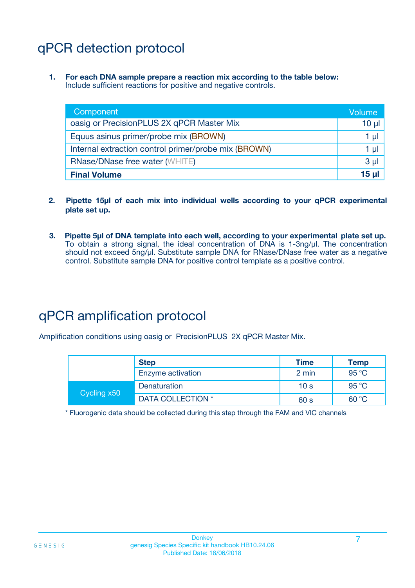# qPCR detection protocol

**1. For each DNA sample prepare a reaction mix according to the table below:** Include sufficient reactions for positive and negative controls.

| Component                                            | Volume         |
|------------------------------------------------------|----------------|
| oasig or PrecisionPLUS 2X qPCR Master Mix            | $10 \mu$       |
| Equus asinus primer/probe mix (BROWN)                | 1 µl           |
| Internal extraction control primer/probe mix (BROWN) | 1 µI           |
| <b>RNase/DNase free water (WHITE)</b>                | 3 <sub>µ</sub> |
| <b>Final Volume</b>                                  | 15 ul          |

- **2. Pipette 15µl of each mix into individual wells according to your qPCR experimental plate set up.**
- **3. Pipette 5µl of DNA template into each well, according to your experimental plate set up.** To obtain a strong signal, the ideal concentration of DNA is 1-3ng/µl. The concentration should not exceed 5ng/µl. Substitute sample DNA for RNase/DNase free water as a negative control. Substitute sample DNA for positive control template as a positive control.

# qPCR amplification protocol

Amplification conditions using oasig or PrecisionPLUS 2X qPCR Master Mix.

|             | <b>Step</b>       | <b>Time</b>     | Temp           |
|-------------|-------------------|-----------------|----------------|
|             | Enzyme activation | 2 min           | 95 °C          |
| Cycling x50 | Denaturation      | 10 <sub>s</sub> | 95 $\degree$ C |
|             | DATA COLLECTION * | 60 s            | 60 °C          |

\* Fluorogenic data should be collected during this step through the FAM and VIC channels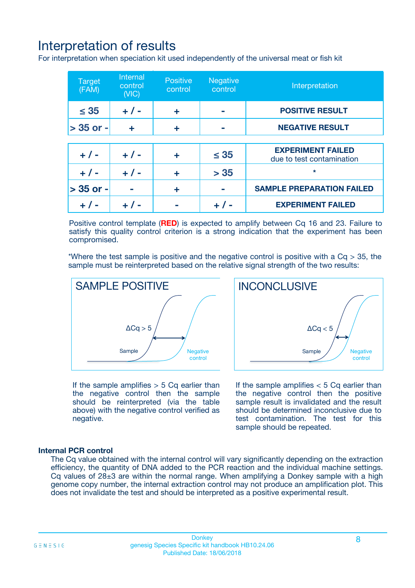# Interpretation of results

For interpretation when speciation kit used independently of the universal meat or fish kit

| <b>Target</b><br>(FAM) | <b>Internal</b><br>control<br>(VIC) | <b>Positive</b><br>control | <b>Negative</b><br>control | Interpretation                                        |
|------------------------|-------------------------------------|----------------------------|----------------------------|-------------------------------------------------------|
| $\leq 35$              | $+ 1 -$                             | ÷                          |                            | <b>POSITIVE RESULT</b>                                |
| $> 35$ or -            | ÷                                   | ÷                          |                            | <b>NEGATIVE RESULT</b>                                |
|                        |                                     |                            |                            |                                                       |
| $+ 1 -$                | $+ 1 -$                             | ÷                          | $\leq 35$                  | <b>EXPERIMENT FAILED</b><br>due to test contamination |
| $+ 1 -$                | $+ 1 -$                             | ٠                          | > 35                       | $\star$                                               |
| $> 35$ or -            |                                     | ÷                          |                            | <b>SAMPLE PREPARATION FAILED</b>                      |
|                        |                                     |                            |                            | <b>EXPERIMENT FAILED</b>                              |

Positive control template (**RED**) is expected to amplify between Cq 16 and 23. Failure to satisfy this quality control criterion is a strong indication that the experiment has been compromised.

\*Where the test sample is positive and the negative control is positive with a  $Ca > 35$ , the sample must be reinterpreted based on the relative signal strength of the two results:



If the sample amplifies  $> 5$  Cq earlier than the negative control then the sample should be reinterpreted (via the table above) with the negative control verified as negative.

Sample  $/$  / Negative control  $\Delta$ Ca < 5 **INCONCLUSIVE** 

If the sample amplifies  $< 5$  Cq earlier than the negative control then the positive sample result is invalidated and the result should be determined inconclusive due to test contamination. The test for this sample should be repeated.

### **Internal PCR control**

The Cq value obtained with the internal control will vary significantly depending on the extraction efficiency, the quantity of DNA added to the PCR reaction and the individual machine settings. Cq values of  $28\pm3$  are within the normal range. When amplifying a Donkey sample with a high genome copy number, the internal extraction control may not produce an amplification plot. This does not invalidate the test and should be interpreted as a positive experimental result.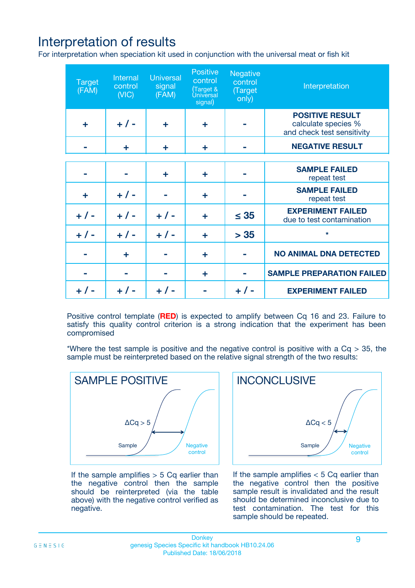# Interpretation of results

For interpretation when speciation kit used in conjunction with the universal meat or fish kit

| <b>Target</b><br>(FAM) | Internal<br>control<br>(NIC) | <b>Universal</b><br>signal<br>(FAM) | Positive<br>control<br>(Target &<br><b>Universal</b><br>signal) | <b>Negative</b><br>control<br>(Target<br>only) | Interpretation                                                              |
|------------------------|------------------------------|-------------------------------------|-----------------------------------------------------------------|------------------------------------------------|-----------------------------------------------------------------------------|
| ÷                      | $+$ / -                      | ÷                                   | ÷                                                               |                                                | <b>POSITIVE RESULT</b><br>calculate species %<br>and check test sensitivity |
|                        | ٠                            | ÷                                   | ÷                                                               |                                                | <b>NEGATIVE RESULT</b>                                                      |
|                        |                              |                                     |                                                                 |                                                |                                                                             |
|                        |                              | ÷                                   | ÷                                                               |                                                | <b>SAMPLE FAILED</b><br>repeat test                                         |
| ÷                      | $+ 1 -$                      |                                     | ÷                                                               |                                                | <b>SAMPLE FAILED</b><br>repeat test                                         |
| $+/-$                  | $+$ / -                      | $+/-$                               | ÷                                                               | $\leq 35$                                      | <b>EXPERIMENT FAILED</b><br>due to test contamination                       |
| $+ 1 -$                | $+$ / -                      | $+ 1 -$                             | ÷                                                               | > 35                                           | $\star$                                                                     |
|                        | ÷                            |                                     | ÷                                                               |                                                | <b>NO ANIMAL DNA DETECTED</b>                                               |
|                        |                              |                                     | ÷                                                               |                                                | <b>SAMPLE PREPARATION FAILED</b>                                            |
| $+  / -$               | $+ 1 -$                      |                                     |                                                                 |                                                | <b>EXPERIMENT FAILED</b>                                                    |

Positive control template (**RED**) is expected to amplify between Cq 16 and 23. Failure to satisfy this quality control criterion is a strong indication that the experiment has been compromised

\*Where the test sample is positive and the negative control is positive with a  $Cq > 35$ , the sample must be reinterpreted based on the relative signal strength of the two results:



If the sample amplifies  $> 5$  Cq earlier than the negative control then the sample should be reinterpreted (via the table above) with the negative control verified as negative.



If the sample amplifies  $< 5$  Cq earlier than the negative control then the positive sample result is invalidated and the result should be determined inconclusive due to test contamination. The test for this sample should be repeated.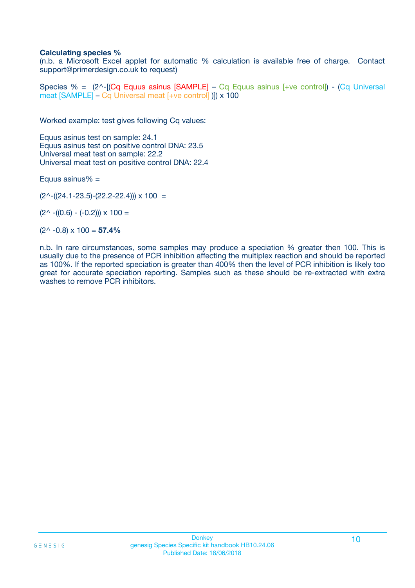### **Calculating species %**

(n.b. a Microsoft Excel applet for automatic % calculation is available free of charge. Contact support@primerdesign.co.uk to request)

Species % =  $(2^{\wedge}$ -[(Cq Equus asinus [SAMPLE] – Cq Equus asinus [+ve control]) - (Cq Universal meat [SAMPLE] – Cq Universal meat [+ve control] )]) x 100

Worked example: test gives following Cq values:

Equus asinus test on sample: 24.1 Equus asinus test on positive control DNA: 23.5 Universal meat test on sample: 22.2 Universal meat test on positive control DNA: 22.4

Equus asinus $% =$ 

 $(2^{\wedge}-(24.1-23.5)-(22.2-22.4))) \times 100 =$ 

 $(2^{\wedge}$  -((0.6) - (-0.2)))  $\times$  100 =

(2^ -0.8) x 100 = **57.4%**

n.b. In rare circumstances, some samples may produce a speciation % greater then 100. This is usually due to the presence of PCR inhibition affecting the multiplex reaction and should be reported as 100%. If the reported speciation is greater than 400% then the level of PCR inhibition is likely too great for accurate speciation reporting. Samples such as these should be re-extracted with extra washes to remove PCR inhibitors.